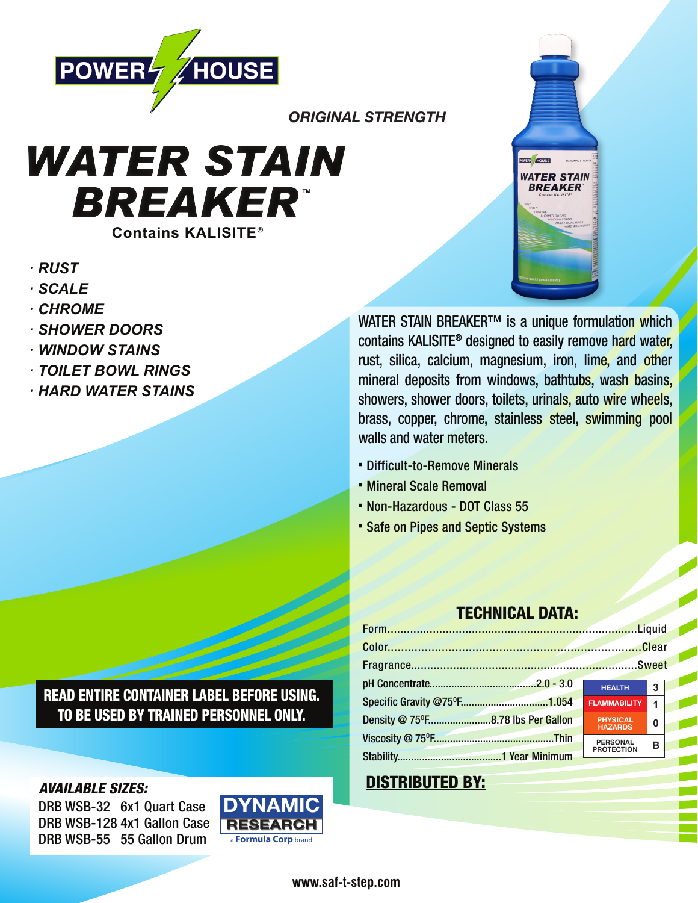

*ORIGINAL STRENGTH*

# *WATER STAIN*  **BREAKER Contains KALISITE**®

- *· RUST*
- *· SCALE*
- *· CHROME*
- *· SHOWER DOORS*
- *· WINDOW STAINS*
- *· TOILET BOWL RINGS*
- *· HARD WATER STAINS*

**WATER STAIN BREAKER** 

WATER STAIN BREAKER™ is a unique formulation which contains KALISITE® designed to easily remove hard water, rust, silica, calcium, magnesium, iron, lime, and other mineral deposits from windows, bathtubs, wash basins, showers, shower doors, toilets, urinals, auto wire wheels, brass, copper, chrome, stainless steel, swimming pool walls and water meters.

- Difficult-to-Remove Minerals
- Mineral Scale Removal
- Non-Hazardous DOT Class 55
- **Safe on Pipes and Septic Systems**

## READ ENTIRE CONTAINER LABEL BEFORE USING. TO BE USED BY TRAINED PERSONNEL ONLY.

#### *AVAILABLE SIZES:*

DRB WSB-32 6x1 Quart Case DRB WSB-128 4x1 Gallon Case DRB WSB-55 55 Gallon Drum



## TECHNICAL DATA:

|                                                | HEALTH 3                             |              |
|------------------------------------------------|--------------------------------------|--------------|
|                                                | FLAMMABILITY 1                       |              |
| Density @ 75 <sup>o</sup> F8.78 lbs Per Gallon | PHYSICAL<br><b>HAZARDS</b>           | $\mathbf{0}$ |
|                                                | <b>PERSONAL</b><br><b>PROTECTION</b> | B            |
|                                                |                                      |              |

## DISTRIBUTED BY: